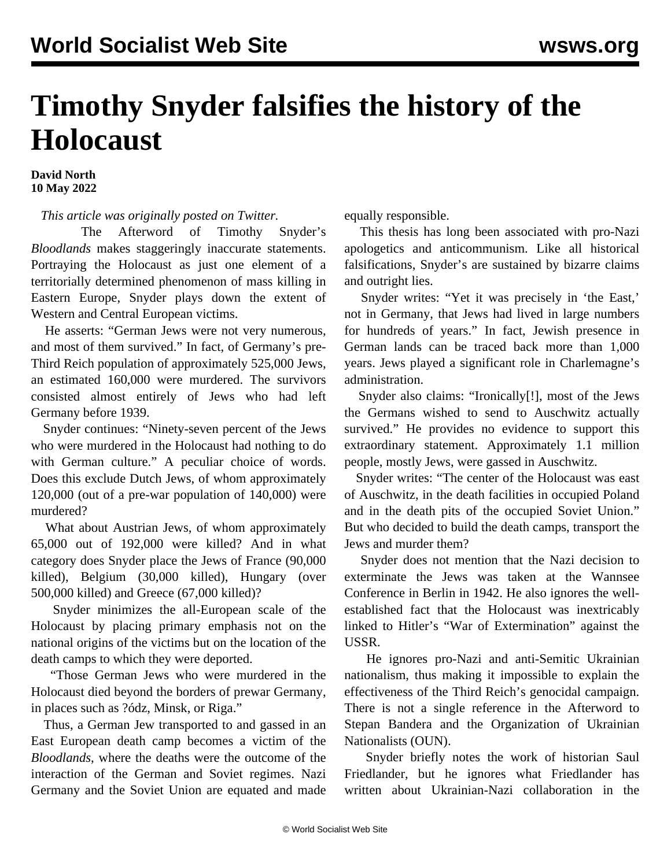## **Timothy Snyder falsifies the history of the Holocaust**

**David North 10 May 2022**

*This article was originally posted on [Twitter](https://twitter.com/DavidNorthWSWS/status/1524125543976759296).*

 The Afterword of Timothy Snyder's *Bloodlands* makes staggeringly inaccurate statements. Portraying the Holocaust as just one element of a territorially determined phenomenon of mass killing in Eastern Europe, Snyder plays down the extent of Western and Central European victims.

 He asserts: "German Jews were not very numerous, and most of them survived." In fact, of Germany's pre-Third Reich population of approximately 525,000 Jews, an estimated 160,000 were murdered. The survivors consisted almost entirely of Jews who had left Germany before 1939.

 Snyder continues: "Ninety-seven percent of the Jews who were murdered in the Holocaust had nothing to do with German culture." A peculiar choice of words. Does this exclude Dutch Jews, of whom approximately 120,000 (out of a pre-war population of 140,000) were murdered?

 What about Austrian Jews, of whom approximately 65,000 out of 192,000 were killed? And in what category does Snyder place the Jews of France (90,000 killed), Belgium (30,000 killed), Hungary (over 500,000 killed) and Greece (67,000 killed)?

 Snyder minimizes the all-European scale of the Holocaust by placing primary emphasis not on the national origins of the victims but on the location of the death camps to which they were deported.

 "Those German Jews who were murdered in the Holocaust died beyond the borders of prewar Germany, in places such as ?ódz, Minsk, or Riga."

 Thus, a German Jew transported to and gassed in an East European death camp becomes a victim of the *Bloodlands*, where the deaths were the outcome of the interaction of the German and Soviet regimes. Nazi Germany and the Soviet Union are equated and made equally responsible.

 This thesis has long been associated with pro-Nazi apologetics and anticommunism. Like all historical falsifications, Snyder's are sustained by bizarre claims and outright lies.

 Snyder writes: "Yet it was precisely in 'the East,' not in Germany, that Jews had lived in large numbers for hundreds of years." In fact, Jewish presence in German lands can be traced back more than 1,000 years. Jews played a significant role in Charlemagne's administration.

 Snyder also claims: "Ironically[!], most of the Jews the Germans wished to send to Auschwitz actually survived." He provides no evidence to support this extraordinary statement. Approximately 1.1 million people, mostly Jews, were gassed in Auschwitz.

 Snyder writes: "The center of the Holocaust was east of Auschwitz, in the death facilities in occupied Poland and in the death pits of the occupied Soviet Union." But who decided to build the death camps, transport the Jews and murder them?

 Snyder does not mention that the Nazi decision to exterminate the Jews was taken at the Wannsee Conference in Berlin in 1942. He also ignores the wellestablished fact that the Holocaust was inextricably linked to Hitler's "War of Extermination" against the USSR.

 He ignores pro-Nazi and anti-Semitic Ukrainian nationalism, thus making it impossible to explain the effectiveness of the Third Reich's genocidal campaign. There is not a single reference in the Afterword to Stepan Bandera and the Organization of Ukrainian Nationalists (OUN).

 Snyder briefly notes the work of historian Saul Friedlander, but he ignores what Friedlander has written about Ukrainian-Nazi collaboration in the